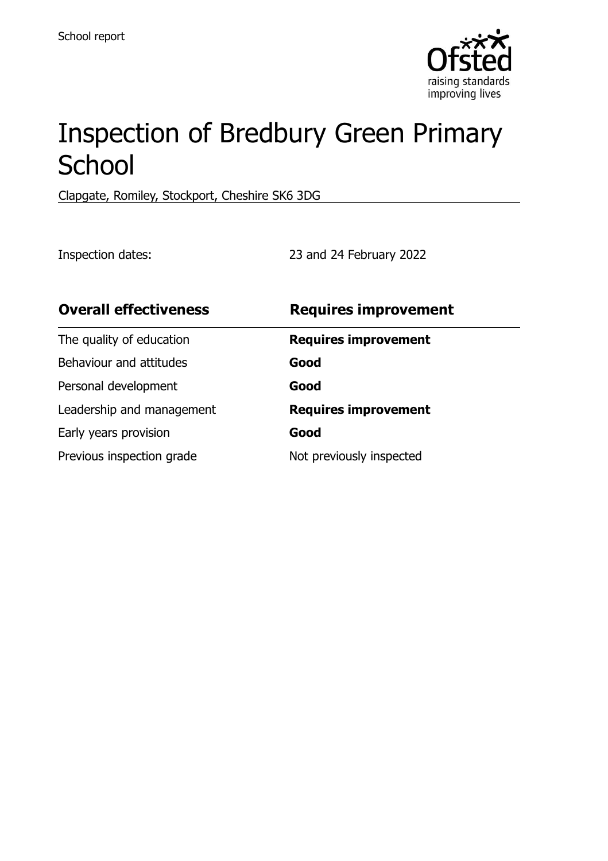

# Inspection of Bredbury Green Primary **School**

Clapgate, Romiley, Stockport, Cheshire SK6 3DG

Inspection dates: 23 and 24 February 2022

| <b>Overall effectiveness</b> | <b>Requires improvement</b> |
|------------------------------|-----------------------------|
| The quality of education     | <b>Requires improvement</b> |
| Behaviour and attitudes      | Good                        |
| Personal development         | Good                        |
| Leadership and management    | <b>Requires improvement</b> |
| Early years provision        | Good                        |
| Previous inspection grade    | Not previously inspected    |
|                              |                             |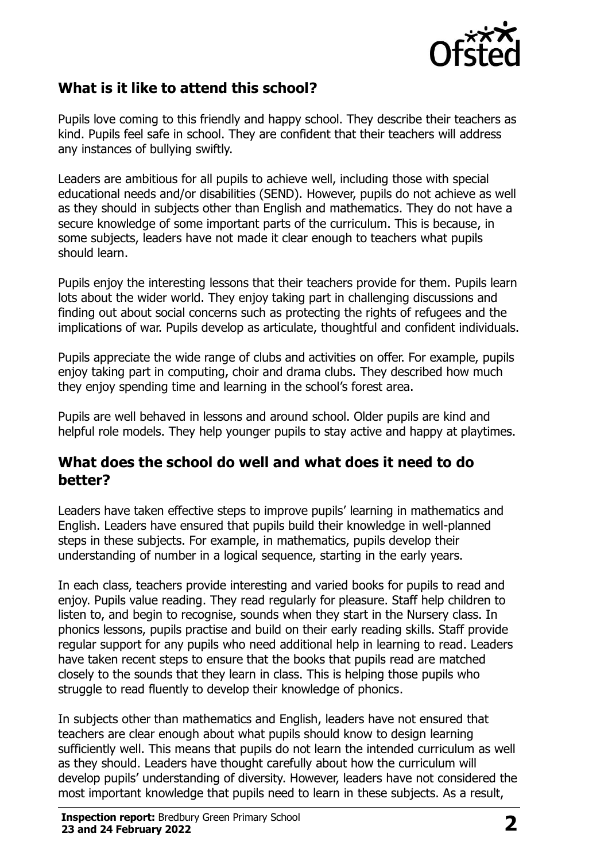

# **What is it like to attend this school?**

Pupils love coming to this friendly and happy school. They describe their teachers as kind. Pupils feel safe in school. They are confident that their teachers will address any instances of bullying swiftly.

Leaders are ambitious for all pupils to achieve well, including those with special educational needs and/or disabilities (SEND). However, pupils do not achieve as well as they should in subjects other than English and mathematics. They do not have a secure knowledge of some important parts of the curriculum. This is because, in some subjects, leaders have not made it clear enough to teachers what pupils should learn.

Pupils enjoy the interesting lessons that their teachers provide for them. Pupils learn lots about the wider world. They enjoy taking part in challenging discussions and finding out about social concerns such as protecting the rights of refugees and the implications of war. Pupils develop as articulate, thoughtful and confident individuals.

Pupils appreciate the wide range of clubs and activities on offer. For example, pupils enjoy taking part in computing, choir and drama clubs. They described how much they enjoy spending time and learning in the school's forest area.

Pupils are well behaved in lessons and around school. Older pupils are kind and helpful role models. They help younger pupils to stay active and happy at playtimes.

### **What does the school do well and what does it need to do better?**

Leaders have taken effective steps to improve pupils' learning in mathematics and English. Leaders have ensured that pupils build their knowledge in well-planned steps in these subjects. For example, in mathematics, pupils develop their understanding of number in a logical sequence, starting in the early years.

In each class, teachers provide interesting and varied books for pupils to read and enjoy. Pupils value reading. They read regularly for pleasure. Staff help children to listen to, and begin to recognise, sounds when they start in the Nursery class. In phonics lessons, pupils practise and build on their early reading skills. Staff provide regular support for any pupils who need additional help in learning to read. Leaders have taken recent steps to ensure that the books that pupils read are matched closely to the sounds that they learn in class. This is helping those pupils who struggle to read fluently to develop their knowledge of phonics.

In subjects other than mathematics and English, leaders have not ensured that teachers are clear enough about what pupils should know to design learning sufficiently well. This means that pupils do not learn the intended curriculum as well as they should. Leaders have thought carefully about how the curriculum will develop pupils' understanding of diversity. However, leaders have not considered the most important knowledge that pupils need to learn in these subjects. As a result,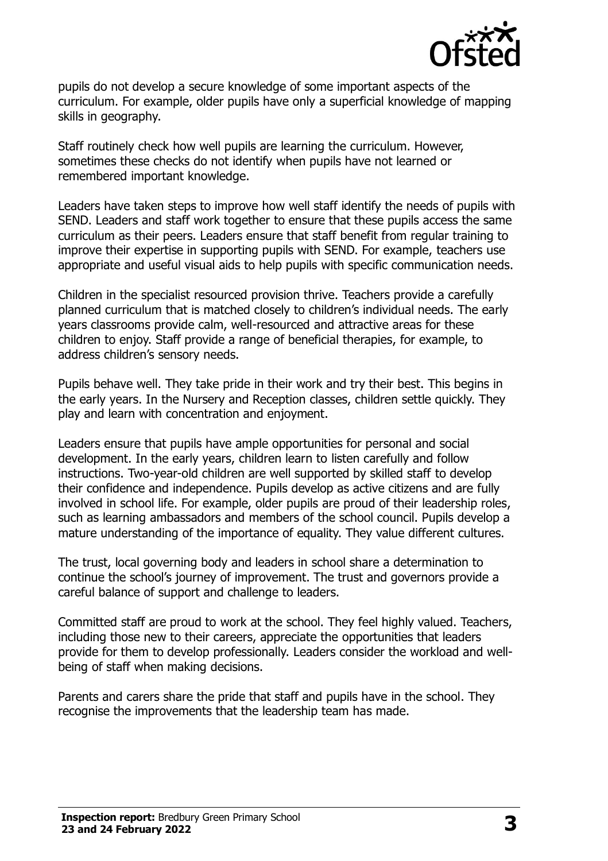

pupils do not develop a secure knowledge of some important aspects of the curriculum. For example, older pupils have only a superficial knowledge of mapping skills in geography.

Staff routinely check how well pupils are learning the curriculum. However, sometimes these checks do not identify when pupils have not learned or remembered important knowledge.

Leaders have taken steps to improve how well staff identify the needs of pupils with SEND. Leaders and staff work together to ensure that these pupils access the same curriculum as their peers. Leaders ensure that staff benefit from regular training to improve their expertise in supporting pupils with SEND. For example, teachers use appropriate and useful visual aids to help pupils with specific communication needs.

Children in the specialist resourced provision thrive. Teachers provide a carefully planned curriculum that is matched closely to children's individual needs. The early years classrooms provide calm, well-resourced and attractive areas for these children to enjoy. Staff provide a range of beneficial therapies, for example, to address children's sensory needs.

Pupils behave well. They take pride in their work and try their best. This begins in the early years. In the Nursery and Reception classes, children settle quickly. They play and learn with concentration and enjoyment.

Leaders ensure that pupils have ample opportunities for personal and social development. In the early years, children learn to listen carefully and follow instructions. Two-year-old children are well supported by skilled staff to develop their confidence and independence. Pupils develop as active citizens and are fully involved in school life. For example, older pupils are proud of their leadership roles, such as learning ambassadors and members of the school council. Pupils develop a mature understanding of the importance of equality. They value different cultures.

The trust, local governing body and leaders in school share a determination to continue the school's journey of improvement. The trust and governors provide a careful balance of support and challenge to leaders.

Committed staff are proud to work at the school. They feel highly valued. Teachers, including those new to their careers, appreciate the opportunities that leaders provide for them to develop professionally. Leaders consider the workload and wellbeing of staff when making decisions.

Parents and carers share the pride that staff and pupils have in the school. They recognise the improvements that the leadership team has made.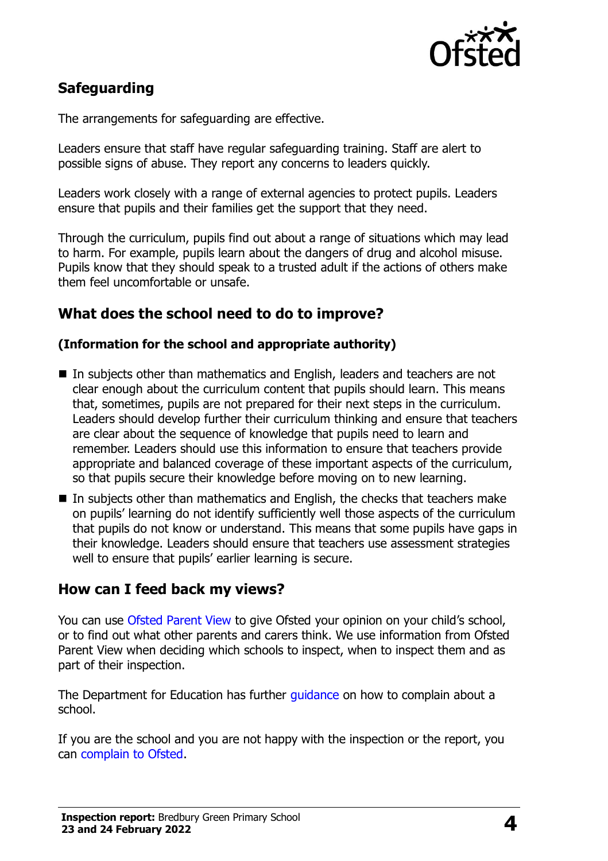

# **Safeguarding**

The arrangements for safeguarding are effective.

Leaders ensure that staff have regular safeguarding training. Staff are alert to possible signs of abuse. They report any concerns to leaders quickly.

Leaders work closely with a range of external agencies to protect pupils. Leaders ensure that pupils and their families get the support that they need.

Through the curriculum, pupils find out about a range of situations which may lead to harm. For example, pupils learn about the dangers of drug and alcohol misuse. Pupils know that they should speak to a trusted adult if the actions of others make them feel uncomfortable or unsafe.

# **What does the school need to do to improve?**

#### **(Information for the school and appropriate authority)**

- In subjects other than mathematics and English, leaders and teachers are not clear enough about the curriculum content that pupils should learn. This means that, sometimes, pupils are not prepared for their next steps in the curriculum. Leaders should develop further their curriculum thinking and ensure that teachers are clear about the sequence of knowledge that pupils need to learn and remember. Leaders should use this information to ensure that teachers provide appropriate and balanced coverage of these important aspects of the curriculum, so that pupils secure their knowledge before moving on to new learning.
- In subjects other than mathematics and English, the checks that teachers make on pupils' learning do not identify sufficiently well those aspects of the curriculum that pupils do not know or understand. This means that some pupils have gaps in their knowledge. Leaders should ensure that teachers use assessment strategies well to ensure that pupils' earlier learning is secure.

## **How can I feed back my views?**

You can use [Ofsted Parent View](http://parentview.ofsted.gov.uk/) to give Ofsted your opinion on your child's school, or to find out what other parents and carers think. We use information from Ofsted Parent View when deciding which schools to inspect, when to inspect them and as part of their inspection.

The Department for Education has further [guidance](http://www.gov.uk/complain-about-school) on how to complain about a school.

If you are the school and you are not happy with the inspection or the report, you can [complain to Ofsted.](http://www.gov.uk/complain-ofsted-report)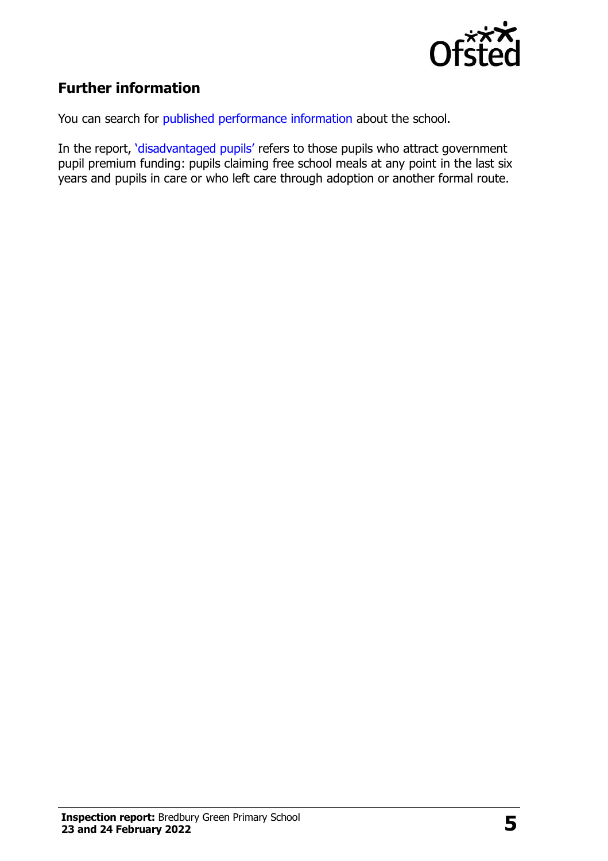

# **Further information**

You can search for [published performance information](http://www.compare-school-performance.service.gov.uk/) about the school.

In the report, '[disadvantaged pupils](http://www.gov.uk/guidance/pupil-premium-information-for-schools-and-alternative-provision-settings)' refers to those pupils who attract government pupil premium funding: pupils claiming free school meals at any point in the last six years and pupils in care or who left care through adoption or another formal route.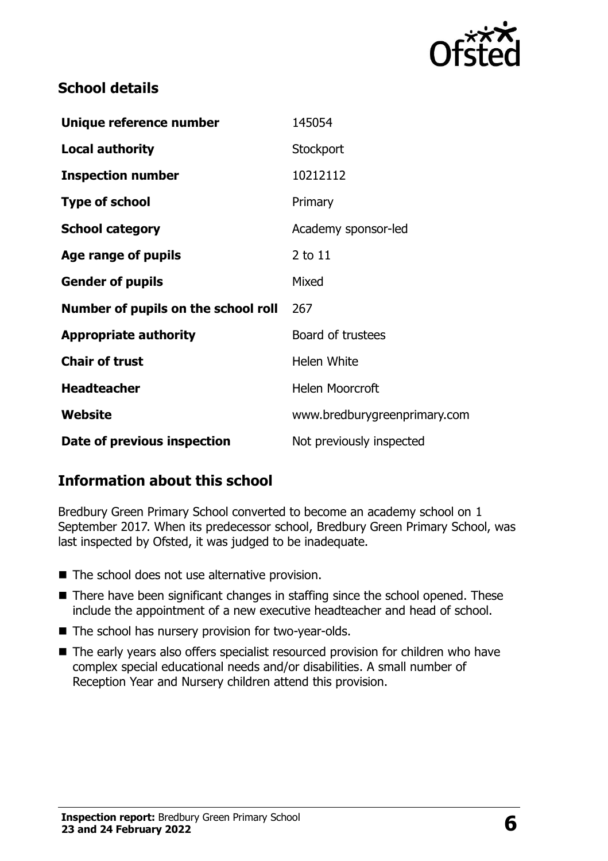

# **School details**

| Unique reference number             | 145054                       |
|-------------------------------------|------------------------------|
| <b>Local authority</b>              | Stockport                    |
| <b>Inspection number</b>            | 10212112                     |
| <b>Type of school</b>               | Primary                      |
| <b>School category</b>              | Academy sponsor-led          |
| Age range of pupils                 | $2$ to $11$                  |
| <b>Gender of pupils</b>             | Mixed                        |
| Number of pupils on the school roll | 267                          |
| <b>Appropriate authority</b>        | Board of trustees            |
| <b>Chair of trust</b>               | <b>Helen White</b>           |
| <b>Headteacher</b>                  | <b>Helen Moorcroft</b>       |
| Website                             | www.bredburygreenprimary.com |
| Date of previous inspection         | Not previously inspected     |

# **Information about this school**

Bredbury Green Primary School converted to become an academy school on 1 September 2017. When its predecessor school, Bredbury Green Primary School, was last inspected by Ofsted, it was judged to be inadequate.

- The school does not use alternative provision.
- There have been significant changes in staffing since the school opened. These include the appointment of a new executive headteacher and head of school.
- The school has nursery provision for two-year-olds.
- The early years also offers specialist resourced provision for children who have complex special educational needs and/or disabilities. A small number of Reception Year and Nursery children attend this provision.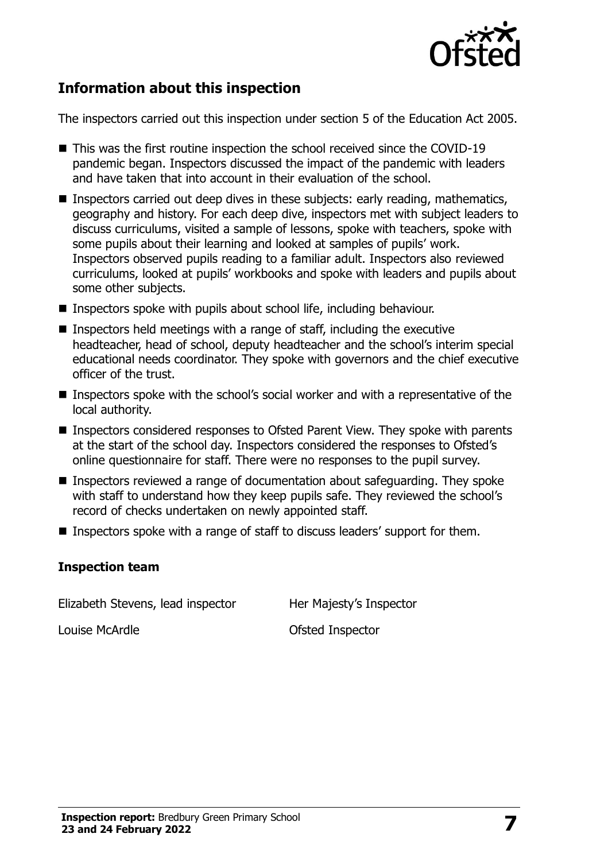

# **Information about this inspection**

The inspectors carried out this inspection under section 5 of the Education Act 2005.

- This was the first routine inspection the school received since the COVID-19 pandemic began. Inspectors discussed the impact of the pandemic with leaders and have taken that into account in their evaluation of the school.
- Inspectors carried out deep dives in these subiects: early reading, mathematics, geography and history. For each deep dive, inspectors met with subject leaders to discuss curriculums, visited a sample of lessons, spoke with teachers, spoke with some pupils about their learning and looked at samples of pupils' work. Inspectors observed pupils reading to a familiar adult. Inspectors also reviewed curriculums, looked at pupils' workbooks and spoke with leaders and pupils about some other subjects.
- Inspectors spoke with pupils about school life, including behaviour.
- $\blacksquare$  Inspectors held meetings with a range of staff, including the executive headteacher, head of school, deputy headteacher and the school's interim special educational needs coordinator. They spoke with governors and the chief executive officer of the trust.
- Inspectors spoke with the school's social worker and with a representative of the local authority.
- Inspectors considered responses to Ofsted Parent View. They spoke with parents at the start of the school day. Inspectors considered the responses to Ofsted's online questionnaire for staff. There were no responses to the pupil survey.
- Inspectors reviewed a range of documentation about safeguarding. They spoke with staff to understand how they keep pupils safe. They reviewed the school's record of checks undertaken on newly appointed staff.
- Inspectors spoke with a range of staff to discuss leaders' support for them.

#### **Inspection team**

Elizabeth Stevens, lead inspector Her Majesty's Inspector

Louise McArdle **Contract Contract Contract Contract Contract Contract Contract Contract Contract Contract Contract Contract Contract Contract Contract Contract Contract Contract Contract Contract Contract Contract Contract**